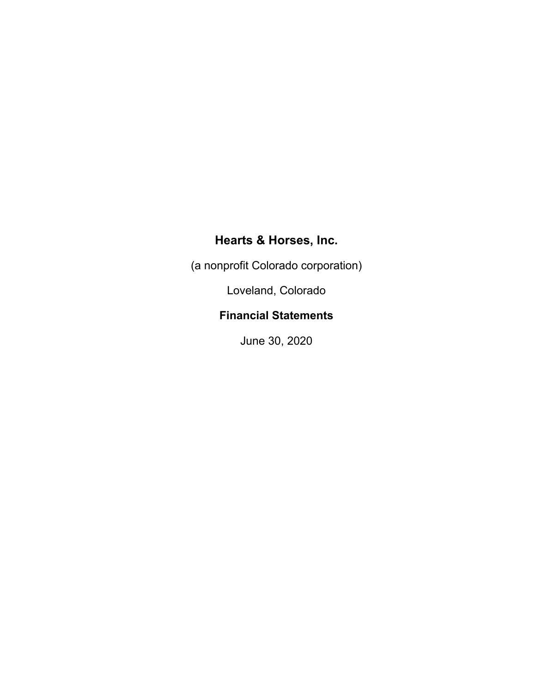(a nonprofit Colorado corporation)

Loveland, Colorado

## **Financial Statements**

June 30, 2020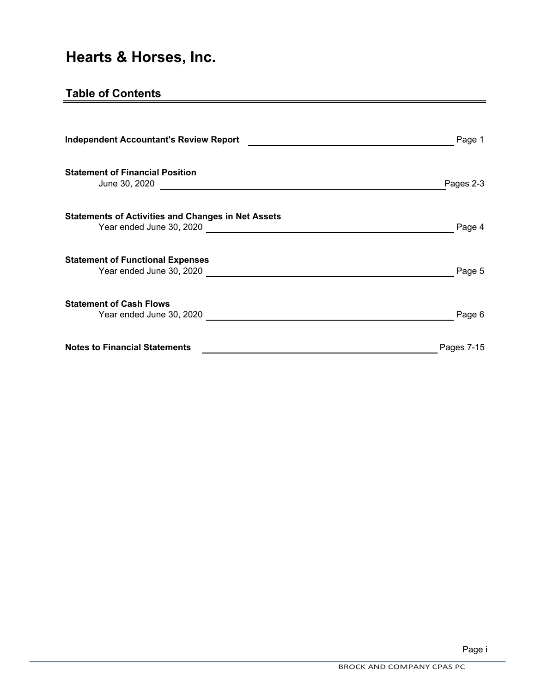## **Table of Contents**

| <b>Independent Accountant's Review Report</b>                       | Page 1     |
|---------------------------------------------------------------------|------------|
| <b>Statement of Financial Position</b><br>June 30, 2020             | Pages 2-3  |
| <b>Statements of Activities and Changes in Net Assets</b>           | Page 4     |
| <b>Statement of Functional Expenses</b><br>Year ended June 30, 2020 | Page 5     |
| <b>Statement of Cash Flows</b><br>Year ended June 30, 2020          | Page 6     |
| <b>Notes to Financial Statements</b>                                | Pages 7-15 |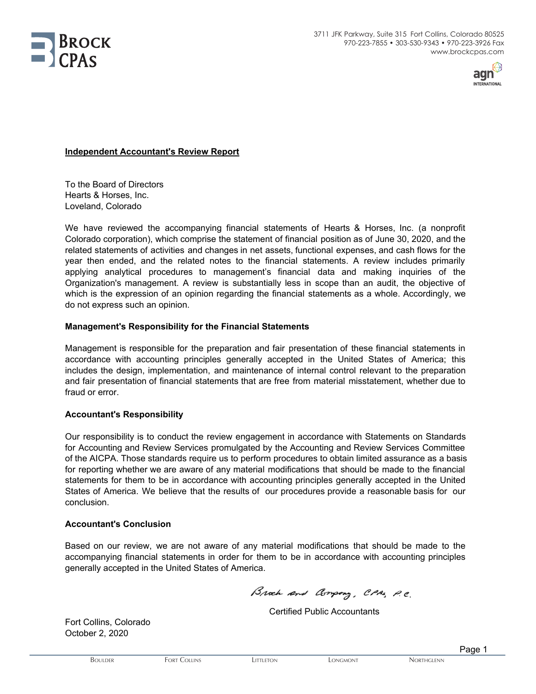



#### **Independent Accountant's Review Report**

To the Board of Directors Hearts & Horses, Inc. Loveland, Colorado

We have reviewed the accompanying financial statements of Hearts & Horses, Inc. (a nonprofit Colorado corporation), which comprise the statement of financial position as of June 30, 2020, and the related statements of activities and changes in net assets, functional expenses, and cash flows for the year then ended, and the related notes to the financial statements. A review includes primarily applying analytical procedures to management's financial data and making inquiries of the Organization's management. A review is substantially less in scope than an audit, the objective of which is the expression of an opinion regarding the financial statements as a whole. Accordingly, we do not express such an opinion.

#### **Management's Responsibility for the Financial Statements**

Management is responsible for the preparation and fair presentation of these financial statements in accordance with accounting principles generally accepted in the United States of America; this includes the design, implementation, and maintenance of internal control relevant to the preparation and fair presentation of financial statements that are free from material misstatement, whether due to fraud or error.

#### **Accountant's Responsibility**

Our responsibility is to conduct the review engagement in accordance with Statements on Standards for Accounting and Review Services promulgated by the Accounting and Review Services Committee of the AICPA. Those standards require us to perform procedures to obtain limited assurance as a basis for reporting whether we are aware of any material modifications that should be made to the financial statements for them to be in accordance with accounting principles generally accepted in the United States of America. We believe that the results of our procedures provide a reasonable basis for our conclusion.

#### **Accountant's Conclusion**

Based on our review, we are not aware of any material modifications that should be made to the accompanying financial statements in order for them to be in accordance with accounting principles generally accepted in the United States of America.

Broch and Company, CPAS, P.C.

Certified Public Accountants

Fort Collins, Colorado October 2, 2020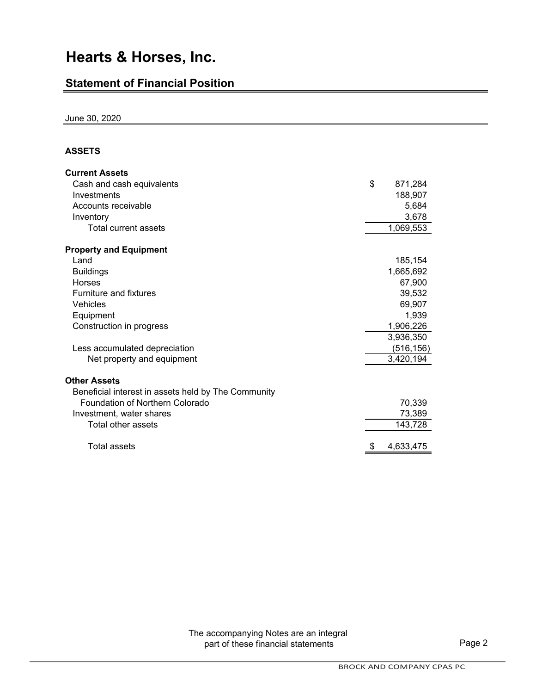### **Statement of Financial Position**

June 30, 2020

### **ASSETS**

| <b>Current Assets</b>                               |               |
|-----------------------------------------------------|---------------|
| Cash and cash equivalents                           | \$<br>871,284 |
| Investments                                         | 188,907       |
| Accounts receivable                                 | 5,684         |
| Inventory                                           | 3,678         |
| Total current assets                                | 1,069,553     |
| <b>Property and Equipment</b>                       |               |
| Land                                                | 185,154       |
| <b>Buildings</b>                                    | 1,665,692     |
| <b>Horses</b>                                       | 67,900        |
| <b>Furniture and fixtures</b>                       | 39,532        |
| Vehicles                                            | 69,907        |
| Equipment                                           | 1,939         |
| Construction in progress                            | 1,906,226     |
|                                                     | 3,936,350     |
| Less accumulated depreciation                       | (516,156)     |
| Net property and equipment                          | 3,420,194     |
| <b>Other Assets</b>                                 |               |
| Beneficial interest in assets held by The Community |               |
| Foundation of Northern Colorado                     | 70,339        |
| Investment, water shares                            | 73,389        |
| Total other assets                                  | 143,728       |
| <b>Total assets</b>                                 | 4,633,475     |

The accompanying Notes are an integral part of these financial statements **Page 2**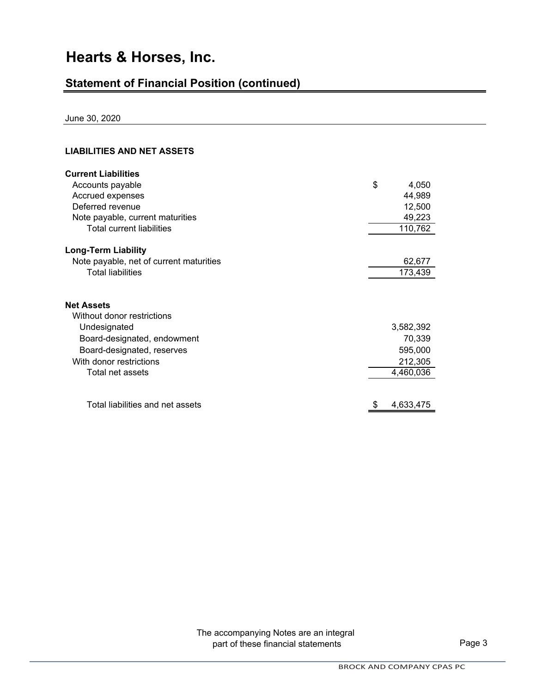## **Statement of Financial Position (continued)**

June 30, 2020

### **LIABILITIES AND NET ASSETS**

| <b>Current Liabilities</b>              |             |  |
|-----------------------------------------|-------------|--|
| Accounts payable                        | \$<br>4,050 |  |
| Accrued expenses                        | 44,989      |  |
| Deferred revenue                        | 12,500      |  |
| Note payable, current maturities        | 49,223      |  |
| <b>Total current liabilities</b>        | 110,762     |  |
| <b>Long-Term Liability</b>              |             |  |
| Note payable, net of current maturities | 62,677      |  |
| <b>Total liabilities</b>                | 173,439     |  |
| <b>Net Assets</b>                       |             |  |
| Without donor restrictions              |             |  |
| Undesignated                            | 3,582,392   |  |
| Board-designated, endowment             | 70,339      |  |
| Board-designated, reserves              | 595,000     |  |
| With donor restrictions                 | 212,305     |  |
| Total net assets                        | 4,460,036   |  |
|                                         |             |  |
| Total liabilities and net assets        | 4,633,475   |  |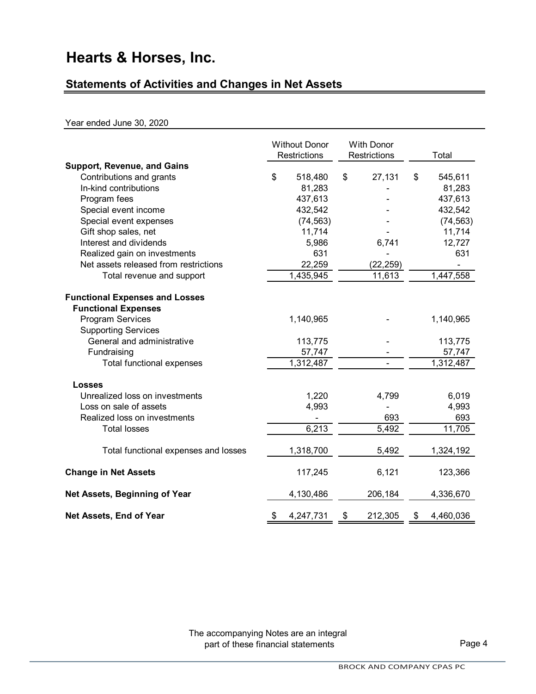## **Statements of Activities and Changes in Net Assets**

#### Year ended June 30, 2020

|                                                                     | <b>Without Donor</b><br><b>Restrictions</b> | <b>With Donor</b><br><b>Restrictions</b> | Total           |
|---------------------------------------------------------------------|---------------------------------------------|------------------------------------------|-----------------|
| <b>Support, Revenue, and Gains</b>                                  |                                             |                                          |                 |
| Contributions and grants                                            | \$<br>518,480                               | \$<br>27,131                             | \$<br>545,611   |
| In-kind contributions                                               | 81,283                                      |                                          | 81,283          |
| Program fees                                                        | 437,613                                     |                                          | 437,613         |
| Special event income                                                | 432,542                                     |                                          | 432,542         |
| Special event expenses                                              | (74, 563)                                   |                                          | (74, 563)       |
| Gift shop sales, net                                                | 11,714                                      |                                          | 11,714          |
| Interest and dividends                                              | 5,986                                       | 6,741                                    | 12,727          |
| Realized gain on investments                                        | 631                                         |                                          | 631             |
| Net assets released from restrictions                               | 22,259                                      | (22, 259)                                |                 |
| Total revenue and support                                           | 1,435,945                                   | 11,613                                   | 1,447,558       |
| <b>Functional Expenses and Losses</b><br><b>Functional Expenses</b> |                                             |                                          |                 |
| <b>Program Services</b>                                             | 1,140,965                                   |                                          | 1,140,965       |
| <b>Supporting Services</b>                                          |                                             |                                          |                 |
| General and administrative                                          | 113,775                                     |                                          | 113,775         |
| Fundraising                                                         | 57,747                                      |                                          | 57,747          |
| Total functional expenses                                           | 1,312,487                                   |                                          | 1,312,487       |
| <b>Losses</b>                                                       |                                             |                                          |                 |
| Unrealized loss on investments                                      | 1,220                                       | 4,799                                    | 6,019           |
| Loss on sale of assets                                              | 4,993                                       |                                          | 4,993           |
| Realized loss on investments                                        |                                             | 693                                      | 693             |
| <b>Total losses</b>                                                 | 6,213                                       | 5,492                                    | 11,705          |
| Total functional expenses and losses                                | 1,318,700                                   | 5,492                                    | 1,324,192       |
| <b>Change in Net Assets</b>                                         | 117,245                                     | 6,121                                    | 123,366         |
| Net Assets, Beginning of Year                                       | 4,130,486                                   | 206,184                                  | 4,336,670       |
| Net Assets, End of Year                                             | \$<br>4,247,731                             | \$<br>212,305                            | \$<br>4,460,036 |

The accompanying Notes are an integral part of these financial statements **Page 4**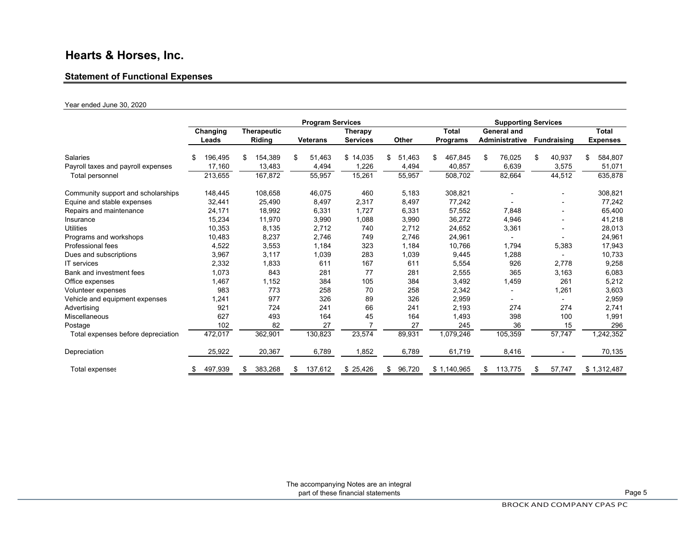#### **Statement of Functional Expenses**

#### Year ended June 30, 2020

|                                    |               |                    | <b>Program Services</b> |                 |              |                 | <b>Supporting Services</b> |                          |                 |
|------------------------------------|---------------|--------------------|-------------------------|-----------------|--------------|-----------------|----------------------------|--------------------------|-----------------|
|                                    | Changing      | <b>Therapeutic</b> |                         | <b>Therapy</b>  |              | <b>Total</b>    | <b>General and</b>         |                          | <b>Total</b>    |
|                                    | Leads         | Riding             | <b>Veterans</b>         | <b>Services</b> | Other        | <b>Programs</b> | Administrative             | <b>Fundraising</b>       | <b>Expenses</b> |
| Salaries                           | 196,495<br>\$ | 154,389<br>\$      | 51,463<br>\$            | \$14,035        | 51,463<br>\$ | 467,845<br>\$   | 76,025<br>\$               | 40,937<br>\$             | \$<br>584,807   |
| Payroll taxes and payroll expenses | 17.160        | 13,483             | 4,494                   | 1,226           | 4,494        | 40,857          | 6,639                      | 3,575                    | 51,071          |
| Total personnel                    | 213,655       | 167,872            | 55,957                  | 15,261          | 55,957       | 508,702         | 82,664                     | 44,512                   | 635,878         |
| Community support and scholarships | 148,445       | 108,658            | 46,075                  | 460             | 5,183        | 308,821         |                            | $\overline{\phantom{a}}$ | 308,821         |
| Equine and stable expenses         | 32,441        | 25,490             | 8,497                   | 2,317           | 8,497        | 77,242          |                            |                          | 77,242          |
| Repairs and maintenance            | 24,171        | 18,992             | 6,331                   | 1,727           | 6,331        | 57,552          | 7,848                      |                          | 65,400          |
| Insurance                          | 15,234        | 11,970             | 3,990                   | 1,088           | 3,990        | 36,272          | 4,946                      |                          | 41,218          |
| <b>Utilities</b>                   | 10,353        | 8,135              | 2,712                   | 740             | 2,712        | 24,652          | 3,361                      |                          | 28,013          |
| Programs and workshops             | 10,483        | 8,237              | 2,746                   | 749             | 2,746        | 24,961          |                            |                          | 24,961          |
| Professional fees                  | 4,522         | 3,553              | 1,184                   | 323             | 1,184        | 10,766          | 1,794                      | 5,383                    | 17,943          |
| Dues and subscriptions             | 3,967         | 3,117              | 1,039                   | 283             | 1,039        | 9,445           | 1,288                      |                          | 10,733          |
| <b>IT</b> services                 | 2,332         | 1,833              | 611                     | 167             | 611          | 5,554           | 926                        | 2,778                    | 9,258           |
| Bank and investment fees           | 1,073         | 843                | 281                     | 77              | 281          | 2,555           | 365                        | 3,163                    | 6,083           |
| Office expenses                    | 1,467         | 1,152              | 384                     | 105             | 384          | 3,492           | 1,459                      | 261                      | 5,212           |
| Volunteer expenses                 | 983           | 773                | 258                     | 70              | 258          | 2,342           |                            | 1,261                    | 3,603           |
| Vehicle and equipment expenses     | 1,241         | 977                | 326                     | 89              | 326          | 2,959           |                            |                          | 2,959           |
| Advertising                        | 921           | 724                | 241                     | 66              | 241          | 2,193           | 274                        | 274                      | 2,741           |
| Miscellaneous                      | 627           | 493                | 164                     | 45              | 164          | 1,493           | 398                        | 100                      | 1,991           |
| Postage                            | 102           | 82                 | 27                      |                 | 27           | 245             | 36                         | 15                       | 296             |
| Total expenses before depreciation | 472,017       | 362,901            | 130,823                 | 23,574          | 89,931       | 1,079,246       | 105,359                    | 57,747                   | 1,242,352       |
| Depreciation                       | 25,922        | 20,367             | 6,789                   | 1,852           | 6,789        | 61,719          | 8,416                      |                          | 70,135          |
| Total expenses                     | 497,939<br>S  | 383,268<br>\$      | 137,612<br>\$           | \$<br>25,426    | 96,720<br>\$ | \$1,140,965     | 113,775<br>\$              | 57,747<br>\$             | \$1,312,487     |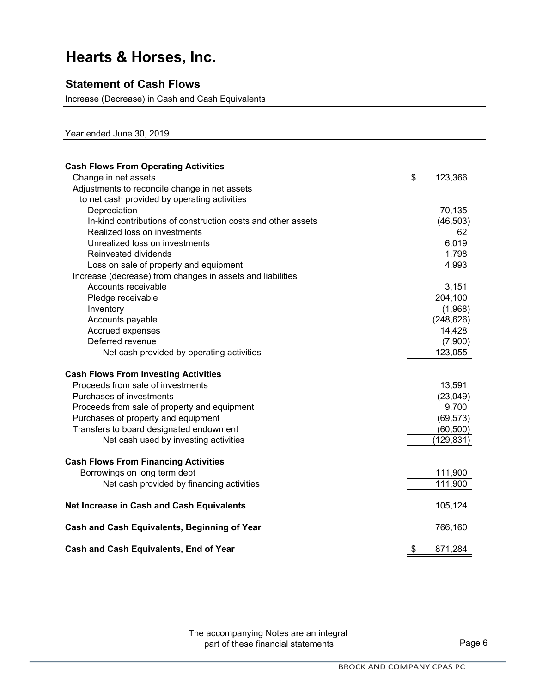### **Statement of Cash Flows**

Increase (Decrease) in Cash and Cash Equivalents

Year ended June 30, 2019

| <b>Cash Flows From Operating Activities</b>                  |               |
|--------------------------------------------------------------|---------------|
| Change in net assets                                         | \$<br>123,366 |
| Adjustments to reconcile change in net assets                |               |
| to net cash provided by operating activities                 |               |
| Depreciation                                                 | 70,135        |
| In-kind contributions of construction costs and other assets | (46, 503)     |
| Realized loss on investments                                 | 62            |
| Unrealized loss on investments                               | 6,019         |
| Reinvested dividends                                         | 1,798         |
| Loss on sale of property and equipment                       | 4,993         |
| Increase (decrease) from changes in assets and liabilities   |               |
| Accounts receivable                                          | 3,151         |
| Pledge receivable                                            | 204,100       |
| Inventory                                                    | (1,968)       |
| Accounts payable                                             | (248, 626)    |
| Accrued expenses                                             | 14,428        |
| Deferred revenue                                             | (7,900)       |
| Net cash provided by operating activities                    | 123,055       |
| <b>Cash Flows From Investing Activities</b>                  |               |
| Proceeds from sale of investments                            | 13,591        |
| Purchases of investments                                     | (23, 049)     |
| Proceeds from sale of property and equipment                 | 9,700         |
| Purchases of property and equipment                          | (69, 573)     |
| Transfers to board designated endowment                      | (60, 500)     |
| Net cash used by investing activities                        | (129, 831)    |
| <b>Cash Flows From Financing Activities</b>                  |               |
| Borrowings on long term debt                                 | 111,900       |
| Net cash provided by financing activities                    | 111,900       |
| Net Increase in Cash and Cash Equivalents                    | 105,124       |
| Cash and Cash Equivalents, Beginning of Year                 | 766,160       |
| <b>Cash and Cash Equivalents, End of Year</b>                | \$<br>871,284 |

The accompanying Notes are an integral part of these financial statements **Page 6**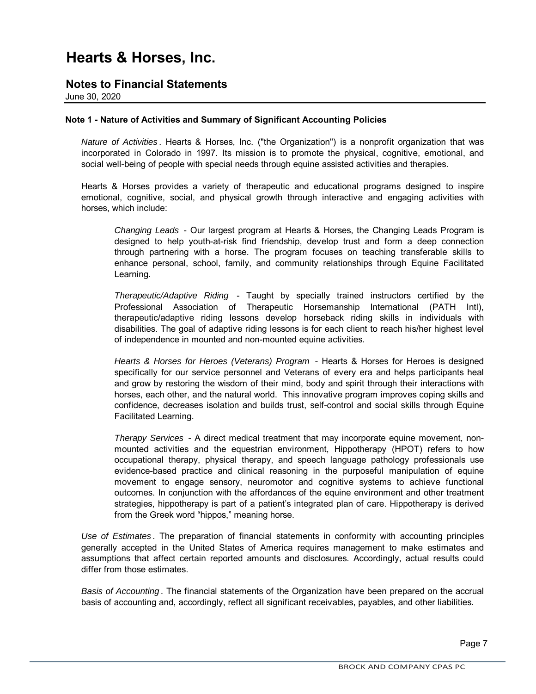### **Notes to Financial Statements**

June 30, 2020

#### **Note 1 - Nature of Activities and Summary of Significant Accounting Policies**

*Nature of Activities* . Hearts & Horses, Inc. ("the Organization") is a nonprofit organization that was incorporated in Colorado in 1997. Its mission is to promote the physical, cognitive, emotional, and social well-being of people with special needs through equine assisted activities and therapies.

Hearts & Horses provides a variety of therapeutic and educational programs designed to inspire emotional, cognitive, social, and physical growth through interactive and engaging activities with horses, which include:

*Changing Leads* - Our largest program at Hearts & Horses, the Changing Leads Program is designed to help youth-at-risk find friendship, develop trust and form a deep connection through partnering with a horse. The program focuses on teaching transferable skills to enhance personal, school, family, and community relationships through Equine Facilitated Learning.

*Therapeutic/Adaptive Riding* - Taught by specially trained instructors certified by the Professional Association of Therapeutic Horsemanship International (PATH Intl), therapeutic/adaptive riding lessons develop horseback riding skills in individuals with disabilities. The goal of adaptive riding lessons is for each client to reach his/her highest level of independence in mounted and non-mounted equine activities.

*Hearts & Horses for Heroes (Veterans) Program* - Hearts & Horses for Heroes is designed specifically for our service personnel and Veterans of every era and helps participants heal and grow by restoring the wisdom of their mind, body and spirit through their interactions with horses, each other, and the natural world. This innovative program improves coping skills and confidence, decreases isolation and builds trust, self-control and social skills through Equine Facilitated Learning.

*Therapy Services* - A direct medical treatment that may incorporate equine movement, nonmounted activities and the equestrian environment, Hippotherapy (HPOT) refers to how occupational therapy, physical therapy, and speech language pathology professionals use evidence-based practice and clinical reasoning in the purposeful manipulation of equine movement to engage sensory, neuromotor and cognitive systems to achieve functional outcomes. In conjunction with the affordances of the equine environment and other treatment strategies, hippotherapy is part of a patient's integrated plan of care. Hippotherapy is derived from the Greek word "hippos," meaning horse.

*Use of Estimates* . The preparation of financial statements in conformity with accounting principles generally accepted in the United States of America requires management to make estimates and assumptions that affect certain reported amounts and disclosures. Accordingly, actual results could differ from those estimates.

*Basis of Accounting* . The financial statements of the Organization have been prepared on the accrual basis of accounting and, accordingly, reflect all significant receivables, payables, and other liabilities.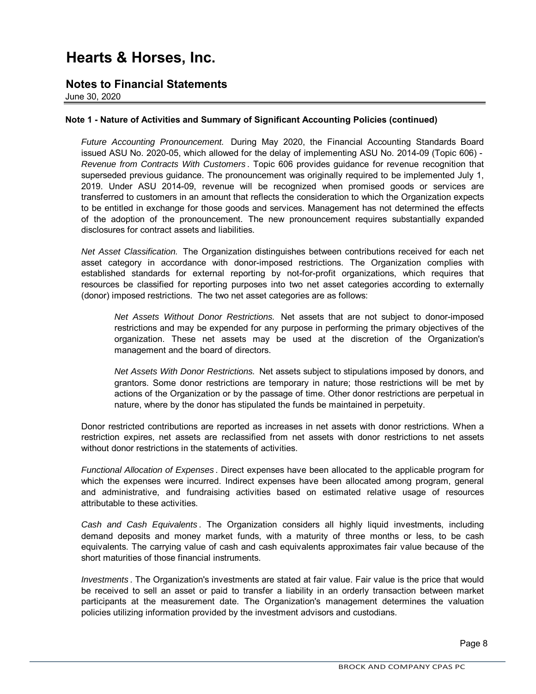### **Notes to Financial Statements**

June 30, 2020

#### **Note 1 - Nature of Activities and Summary of Significant Accounting Policies (continued)**

*Future Accounting Pronouncement.* During May 2020, the Financial Accounting Standards Board issued ASU No. 2020-05, which allowed for the delay of implementing ASU No. 2014-09 (Topic 606) - *Revenue from Contracts With Customers* . Topic 606 provides guidance for revenue recognition that superseded previous guidance. The pronouncement was originally required to be implemented July 1, 2019. Under ASU 2014-09, revenue will be recognized when promised goods or services are transferred to customers in an amount that reflects the consideration to which the Organization expects to be entitled in exchange for those goods and services. Management has not determined the effects of the adoption of the pronouncement. The new pronouncement requires substantially expanded disclosures for contract assets and liabilities.

*Net Asset Classification.* The Organization distinguishes between contributions received for each net asset category in accordance with donor-imposed restrictions. The Organization complies with established standards for external reporting by not-for-profit organizations, which requires that resources be classified for reporting purposes into two net asset categories according to externally (donor) imposed restrictions. The two net asset categories are as follows:

*Net Assets Without Donor Restrictions.* Net assets that are not subject to donor-imposed restrictions and may be expended for any purpose in performing the primary objectives of the organization. These net assets may be used at the discretion of the Organization's management and the board of directors.

*Net Assets With Donor Restrictions.* Net assets subject to stipulations imposed by donors, and grantors. Some donor restrictions are temporary in nature; those restrictions will be met by actions of the Organization or by the passage of time. Other donor restrictions are perpetual in nature, where by the donor has stipulated the funds be maintained in perpetuity.

Donor restricted contributions are reported as increases in net assets with donor restrictions. When a restriction expires, net assets are reclassified from net assets with donor restrictions to net assets without donor restrictions in the statements of activities.

*Functional Allocation of Expenses* . Direct expenses have been allocated to the applicable program for which the expenses were incurred. Indirect expenses have been allocated among program, general and administrative, and fundraising activities based on estimated relative usage of resources attributable to these activities.

*Cash and Cash Equivalents* . The Organization considers all highly liquid investments, including demand deposits and money market funds, with a maturity of three months or less, to be cash equivalents. The carrying value of cash and cash equivalents approximates fair value because of the short maturities of those financial instruments.

*Investments* . The Organization's investments are stated at fair value. Fair value is the price that would be received to sell an asset or paid to transfer a liability in an orderly transaction between market participants at the measurement date. The Organization's management determines the valuation policies utilizing information provided by the investment advisors and custodians.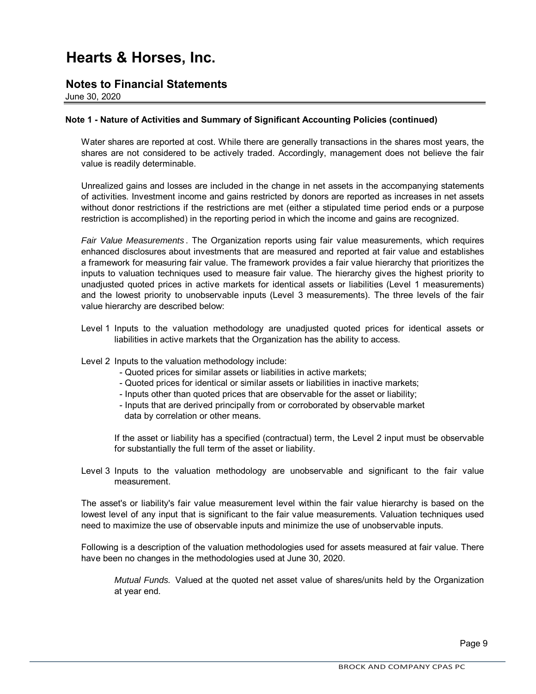### **Notes to Financial Statements**

June 30, 2020

#### **Note 1 - Nature of Activities and Summary of Significant Accounting Policies (continued)**

Water shares are reported at cost. While there are generally transactions in the shares most years, the shares are not considered to be actively traded. Accordingly, management does not believe the fair value is readily determinable.

Unrealized gains and losses are included in the change in net assets in the accompanying statements of activities. Investment income and gains restricted by donors are reported as increases in net assets without donor restrictions if the restrictions are met (either a stipulated time period ends or a purpose restriction is accomplished) in the reporting period in which the income and gains are recognized.

*Fair Value Measurements* . The Organization reports using fair value measurements, which requires enhanced disclosures about investments that are measured and reported at fair value and establishes a framework for measuring fair value. The framework provides a fair value hierarchy that prioritizes the inputs to valuation techniques used to measure fair value. The hierarchy gives the highest priority to unadjusted quoted prices in active markets for identical assets or liabilities (Level 1 measurements) and the lowest priority to unobservable inputs (Level 3 measurements). The three levels of the fair value hierarchy are described below:

- Level 1 Inputs to the valuation methodology are unadjusted quoted prices for identical assets or liabilities in active markets that the Organization has the ability to access.
- Level 2 Inputs to the valuation methodology include:
	- Quoted prices for similar assets or liabilities in active markets;
	- Quoted prices for identical or similar assets or liabilities in inactive markets;
	- Inputs other than quoted prices that are observable for the asset or liability;
	- data by correlation or other means. - Inputs that are derived principally from or corroborated by observable market

If the asset or liability has a specified (contractual) term, the Level 2 input must be observable for substantially the full term of the asset or liability.

Level 3 Inputs to the valuation methodology are unobservable and significant to the fair value measurement.

The asset's or liability's fair value measurement level within the fair value hierarchy is based on the lowest level of any input that is significant to the fair value measurements. Valuation techniques used need to maximize the use of observable inputs and minimize the use of unobservable inputs.

Following is a description of the valuation methodologies used for assets measured at fair value. There have been no changes in the methodologies used at June 30, 2020.

*Mutual Funds.* Valued at the quoted net asset value of shares/units held by the Organization at year end.

Page 9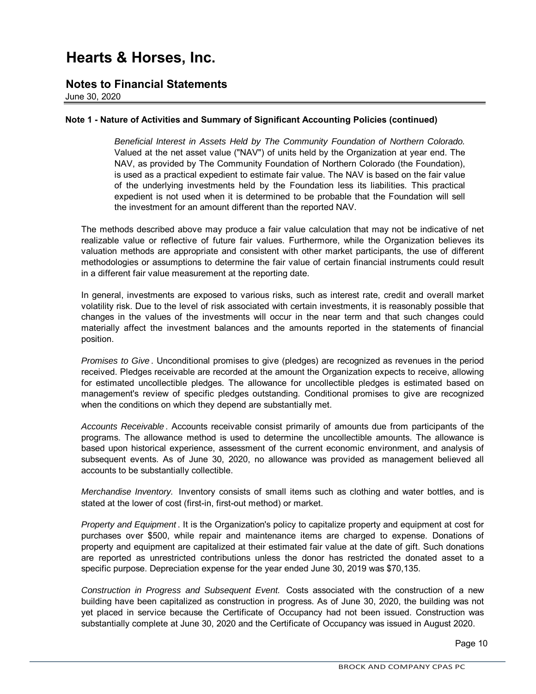### **Notes to Financial Statements**

June 30, 2020

#### **Note 1 - Nature of Activities and Summary of Significant Accounting Policies (continued)**

*Beneficial Interest in Assets Held by The Community Foundation of Northern Colorado.* Valued at the net asset value ("NAV") of units held by the Organization at year end. The NAV, as provided by The Community Foundation of Northern Colorado (the Foundation), is used as a practical expedient to estimate fair value. The NAV is based on the fair value of the underlying investments held by the Foundation less its liabilities. This practical expedient is not used when it is determined to be probable that the Foundation will sell the investment for an amount different than the reported NAV.

The methods described above may produce a fair value calculation that may not be indicative of net realizable value or reflective of future fair values. Furthermore, while the Organization believes its valuation methods are appropriate and consistent with other market participants, the use of different methodologies or assumptions to determine the fair value of certain financial instruments could result in a different fair value measurement at the reporting date.

In general, investments are exposed to various risks, such as interest rate, credit and overall market volatility risk. Due to the level of risk associated with certain investments, it is reasonably possible that changes in the values of the investments will occur in the near term and that such changes could materially affect the investment balances and the amounts reported in the statements of financial position.

*Promises to Give* . Unconditional promises to give (pledges) are recognized as revenues in the period received. Pledges receivable are recorded at the amount the Organization expects to receive, allowing for estimated uncollectible pledges. The allowance for uncollectible pledges is estimated based on management's review of specific pledges outstanding. Conditional promises to give are recognized when the conditions on which they depend are substantially met.

*Accounts Receivable* . Accounts receivable consist primarily of amounts due from participants of the programs. The allowance method is used to determine the uncollectible amounts. The allowance is based upon historical experience, assessment of the current economic environment, and analysis of subsequent events. As of June 30, 2020, no allowance was provided as management believed all accounts to be substantially collectible.

*Merchandise Inventory.* Inventory consists of small items such as clothing and water bottles, and is stated at the lower of cost (first-in, first-out method) or market.

*Property and Equipment* . It is the Organization's policy to capitalize property and equipment at cost for purchases over \$500, while repair and maintenance items are charged to expense. Donations of property and equipment are capitalized at their estimated fair value at the date of gift. Such donations are reported as unrestricted contributions unless the donor has restricted the donated asset to a specific purpose. Depreciation expense for the year ended June 30, 2019 was \$70,135.

*Construction in Progress and Subsequent Event.* Costs associated with the construction of a new building have been capitalized as construction in progress. As of June 30, 2020, the building was not yet placed in service because the Certificate of Occupancy had not been issued. Construction was substantially complete at June 30, 2020 and the Certificate of Occupancy was issued in August 2020.

Page 10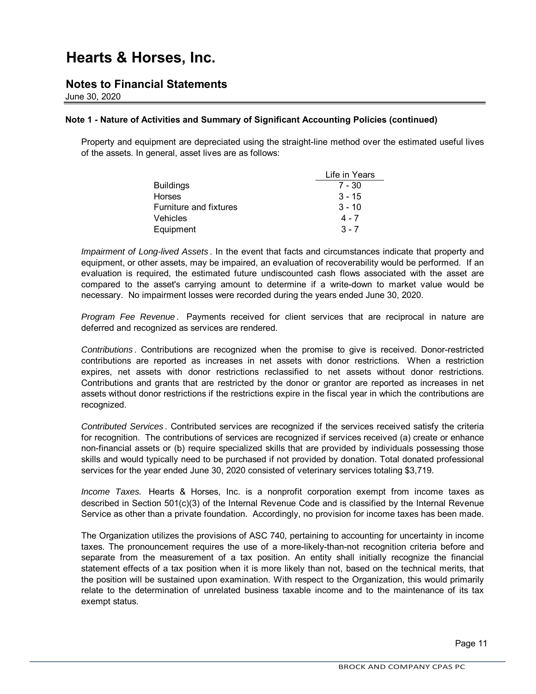### **Notes to Financial Statements**

June 30, 2020

#### **Note 1 - Nature of Activities and Summary of Significant Accounting Policies (continued)**

Property and equipment are depreciated using the straight-line method over the estimated useful lives of the assets. In general, asset lives are as follows:

|                        | Life in Years |
|------------------------|---------------|
| <b>Buildings</b>       | $7 - 30$      |
| <b>Horses</b>          | $3 - 15$      |
| Furniture and fixtures | $3 - 10$      |
| <b>Vehicles</b>        | $4 - 7$       |
| Equipment              | $3 - 7$       |

*Impairment of Long-lived Assets* . In the event that facts and circumstances indicate that property and equipment, or other assets, may be impaired, an evaluation of recoverability would be performed. If an evaluation is required, the estimated future undiscounted cash flows associated with the asset are compared to the asset's carrying amount to determine if a write-down to market value would be necessary. No impairment losses were recorded during the years ended June 30, 2020.

*Program Fee Revenue* . Payments received for client services that are reciprocal in nature are deferred and recognized as services are rendered.

*Contributions* . Contributions are recognized when the promise to give is received. Donor-restricted contributions are reported as increases in net assets with donor restrictions. When a restriction expires, net assets with donor restrictions reclassified to net assets without donor restrictions. Contributions and grants that are restricted by the donor or grantor are reported as increases in net assets without donor restrictions if the restrictions expire in the fiscal year in which the contributions are recognized.

*Contributed Services* . Contributed services are recognized if the services received satisfy the criteria for recognition. The contributions of services are recognized if services received (a) create or enhance non-financial assets or (b) require specialized skills that are provided by individuals possessing those skills and would typically need to be purchased if not provided by donation. Total donated professional services for the year ended June 30, 2020 consisted of veterinary services totaling \$3,719.

*Income Taxes.* Hearts & Horses, Inc. is a nonprofit corporation exempt from income taxes as described in Section 501(c)(3) of the Internal Revenue Code and is classified by the Internal Revenue Service as other than a private foundation. Accordingly, no provision for income taxes has been made.

The Organization utilizes the provisions of ASC 740, pertaining to accounting for uncertainty in income taxes. The pronouncement requires the use of a more-likely-than-not recognition criteria before and separate from the measurement of a tax position. An entity shall initially recognize the financial statement effects of a tax position when it is more likely than not, based on the technical merits, that the position will be sustained upon examination. With respect to the Organization, this would primarily relate to the determination of unrelated business taxable income and to the maintenance of its tax exempt status.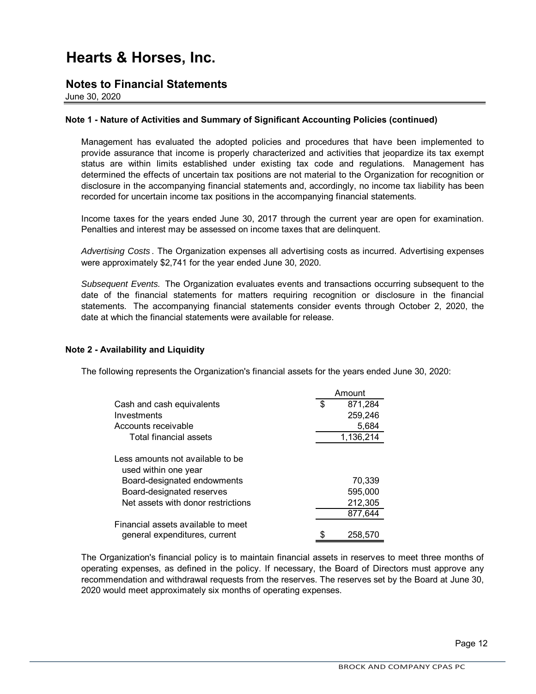### **Notes to Financial Statements**

June 30, 2020

#### **Note 1 - Nature of Activities and Summary of Significant Accounting Policies (continued)**

Management has evaluated the adopted policies and procedures that have been implemented to provide assurance that income is properly characterized and activities that jeopardize its tax exempt status are within limits established under existing tax code and regulations. Management has determined the effects of uncertain tax positions are not material to the Organization for recognition or disclosure in the accompanying financial statements and, accordingly, no income tax liability has been recorded for uncertain income tax positions in the accompanying financial statements.

Income taxes for the years ended June 30, 2017 through the current year are open for examination. Penalties and interest may be assessed on income taxes that are delinquent.

*Advertising Costs* . The Organization expenses all advertising costs as incurred. Advertising expenses were approximately \$2,741 for the year ended June 30, 2020.

*Subsequent Events.* The Organization evaluates events and transactions occurring subsequent to the date of the financial statements for matters requiring recognition or disclosure in the financial statements. The accompanying financial statements consider events through October 2, 2020, the date at which the financial statements were available for release.

#### **Note 2 - Availability and Liquidity**

The following represents the Organization's financial assets for the years ended June 30, 2020:

|                                    |     | Amount    |
|------------------------------------|-----|-----------|
| Cash and cash equivalents          | \$. | 871,284   |
| Investments                        |     | 259,246   |
| Accounts receivable                |     | 5,684     |
| Total financial assets             |     | 1,136,214 |
|                                    |     |           |
| Less amounts not available to be   |     |           |
| used within one year               |     |           |
| Board-designated endowments        |     | 70,339    |
| Board-designated reserves          |     | 595,000   |
| Net assets with donor restrictions |     | 212,305   |
|                                    |     | 877.644   |
| Financial assets available to meet |     |           |
| general expenditures, current      |     | 258.570   |

The Organization's financial policy is to maintain financial assets in reserves to meet three months of operating expenses, as defined in the policy. If necessary, the Board of Directors must approve any recommendation and withdrawal requests from the reserves. The reserves set by the Board at June 30, 2020 would meet approximately six months of operating expenses.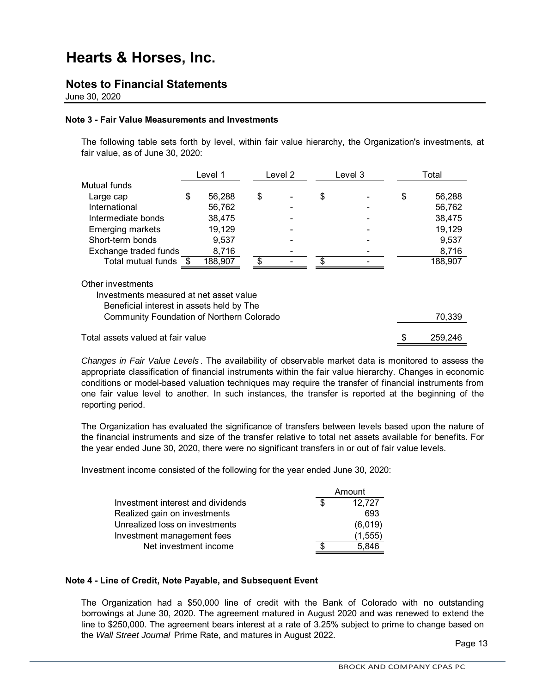### **Notes to Financial Statements**

June 30, 2020

#### **Note 3 - Fair Value Measurements and Investments**

The following table sets forth by level, within fair value hierarchy, the Organization's investments, at fair value, as of June 30, 2020:

|                         | Level 1      | Level 2                  |    | Level 3 | Total        |
|-------------------------|--------------|--------------------------|----|---------|--------------|
| Mutual funds            |              |                          |    |         |              |
| Large cap               | \$<br>56,288 | \$<br>$\blacksquare$     | S  |         | \$<br>56,288 |
| International           | 56,762       | $\overline{\phantom{0}}$ |    |         | 56,762       |
| Intermediate bonds      | 38,475       |                          |    |         | 38,475       |
| <b>Emerging markets</b> | 19,129       | $\blacksquare$           |    |         | 19,129       |
| Short-term bonds        | 9,537        | ۰                        |    |         | 9,537        |
| Exchange traded funds   | 8,716        | $\overline{\phantom{0}}$ |    |         | 8,716        |
| Total mutual funds      | 188,907      |                          | £. |         | 188,907      |
|                         |              |                          |    |         |              |

Other investments

Investments measured at net asset value

Beneficial interest in assets held by The

| <b>Community Foundation of Northern Colorado</b> | 70.339 |
|--------------------------------------------------|--------|
|                                                  |        |

Total assets valued at fair value

*Changes in Fair Value Levels* . The availability of observable market data is monitored to assess the appropriate classification of financial instruments within the fair value hierarchy. Changes in economic conditions or model-based valuation techniques may require the transfer of financial instruments from one fair value level to another. In such instances, the transfer is reported at the beginning of the reporting period.

The Organization has evaluated the significance of transfers between levels based upon the nature of the financial instruments and size of the transfer relative to total net assets available for benefits. For the year ended June 30, 2020, there were no significant transfers in or out of fair value levels.

Investment income consisted of the following for the year ended June 30, 2020:

|                                   | Amount  |
|-----------------------------------|---------|
| Investment interest and dividends | 12,727  |
| Realized gain on investments      | 693     |
| Unrealized loss on investments    | (6,019) |
| Investment management fees        | (1,555) |
| Net investment income             | 5.846   |

#### **Note 4 - Line of Credit, Note Payable, and Subsequent Event**

The Organization had a \$50,000 line of credit with the Bank of Colorado with no outstanding borrowings at June 30, 2020. The agreement matured in August 2020 and was renewed to extend the line to \$250,000. The agreement bears interest at a rate of 3.25% subject to prime to change based on the *Wall Street Journal* Prime Rate, and matures in August 2022.

Page 13

\$ 259,246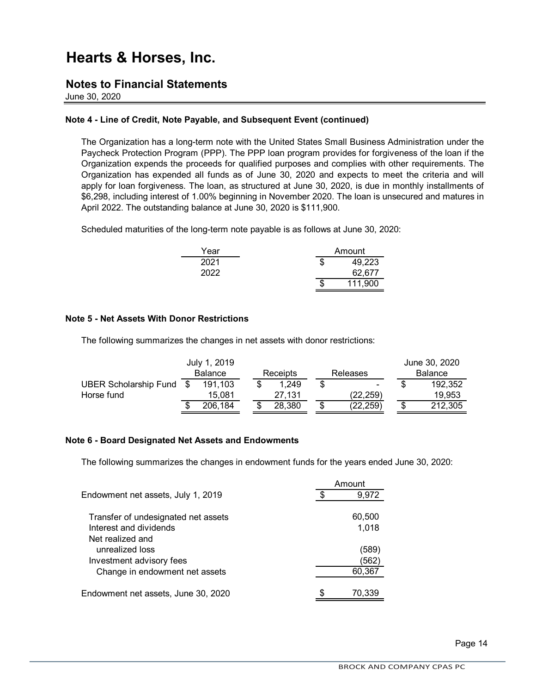### **Notes to Financial Statements**

June 30, 2020

#### **Note 4 - Line of Credit, Note Payable, and Subsequent Event (continued)**

The Organization has a long-term note with the United States Small Business Administration under the Paycheck Protection Program (PPP). The PPP loan program provides for forgiveness of the loan if the Organization expends the proceeds for qualified purposes and complies with other requirements. The Organization has expended all funds as of June 30, 2020 and expects to meet the criteria and will apply for loan forgiveness. The loan, as structured at June 30, 2020, is due in monthly installments of \$6,298, including interest of 1.00% beginning in November 2020. The loan is unsecured and matures in April 2022. The outstanding balance at June 30, 2020 is \$111,900.

Scheduled maturities of the long-term note payable is as follows at June 30, 2020:

| Year | Amount |         |  |
|------|--------|---------|--|
| 2021 | S      | 49,223  |  |
| 2022 |        | 62,677  |  |
|      | S      | 111,900 |  |

#### **Note 5 - Net Assets With Donor Restrictions**

The following summarizes the changes in net assets with donor restrictions:

|                              |                | July 1, 2019 |          |        |          |           |                |    | June 30, 2020 |
|------------------------------|----------------|--------------|----------|--------|----------|-----------|----------------|----|---------------|
|                              | <b>Balance</b> |              | Receipts |        | Releases |           | <b>Balance</b> |    |               |
| <b>UBER Scholarship Fund</b> |                | 191.103      |          | 1.249  |          | ۰         |                |    | 192.352       |
| Horse fund                   |                | 15.081       |          | 27.131 |          | (22.259)  |                |    | 19.953        |
|                              |                | 206,184      | S        | 28,380 | S        | (22, 259) |                | \$ | 212,305       |

#### **Note 6 - Board Designated Net Assets and Endowments**

The following summarizes the changes in endowment funds for the years ended June 30, 2020:

|                                     | Amount |        |  |  |  |
|-------------------------------------|--------|--------|--|--|--|
| Endowment net assets, July 1, 2019  |        | 9,972  |  |  |  |
|                                     |        |        |  |  |  |
| Transfer of undesignated net assets |        | 60,500 |  |  |  |
| Interest and dividends              |        | 1,018  |  |  |  |
| Net realized and                    |        |        |  |  |  |
| unrealized loss                     |        | (589)  |  |  |  |
| Investment advisory fees            |        | 562    |  |  |  |
| Change in endowment net assets      |        | 60,367 |  |  |  |
|                                     |        |        |  |  |  |
| Endowment net assets, June 30, 2020 |        | 70,339 |  |  |  |